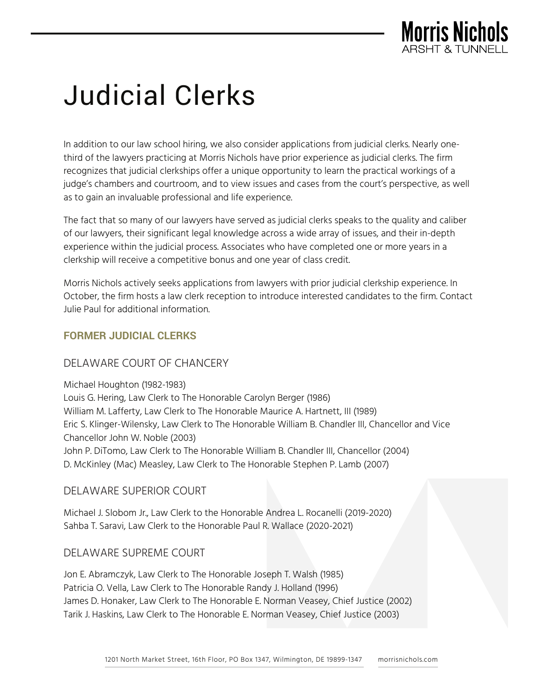

# Judicial Clerks

In addition to our law school hiring, we also consider applications from judicial clerks. Nearly onethird of the lawyers practicing at Morris Nichols have prior experience as judicial clerks. The firm recognizes that judicial clerkships offer a unique opportunity to learn the practical workings of a judge's chambers and courtroom, and to view issues and cases from the court's perspective, as well as to gain an invaluable professional and life experience.

The fact that so many of our lawyers have served as judicial clerks speaks to the quality and caliber of our lawyers, their significant legal knowledge across a wide array of issues, and their in-depth experience within the judicial process. Associates who have completed one or more years in a clerkship will receive a competitive bonus and one year of class credit.

Morris Nichols actively seeks applications from lawyers with prior judicial clerkship experience. In October, the firm hosts a law clerk reception to introduce interested candidates to the firm. Contact Julie Paul for additional information.

#### **FORMER JUDICIAL CLERKS**

## DELAWARE COURT OF CHANCERY

Michael Houghton (1982-1983) Louis G. Hering, Law Clerk to The Honorable Carolyn Berger (1986) William M. Lafferty, Law Clerk to The Honorable Maurice A. Hartnett, III (1989) Eric S. Klinger-Wilensky, Law Clerk to The Honorable William B. Chandler III, Chancellor and Vice Chancellor John W. Noble (2003) John P. DiTomo, Law Clerk to The Honorable William B. Chandler III, Chancellor (2004) D. McKinley (Mac) Measley, Law Clerk to The Honorable Stephen P. Lamb (2007)

#### DELAWARE SUPERIOR COURT

Michael J. Slobom Jr., Law Clerk to the Honorable Andrea L. Rocanelli (2019-2020) Sahba T. Saravi, Law Clerk to the Honorable Paul R. Wallace (2020-2021)

#### DELAWARE SUPREME COURT

Jon E. Abramczyk, Law Clerk to The Honorable Joseph T. Walsh (1985) Patricia O. Vella, Law Clerk to The Honorable Randy J. Holland (1996) James D. Honaker, Law Clerk to The Honorable E. Norman Veasey, Chief Justice (2002) Tarik J. Haskins, Law Clerk to The Honorable E. Norman Veasey, Chief Justice (2003)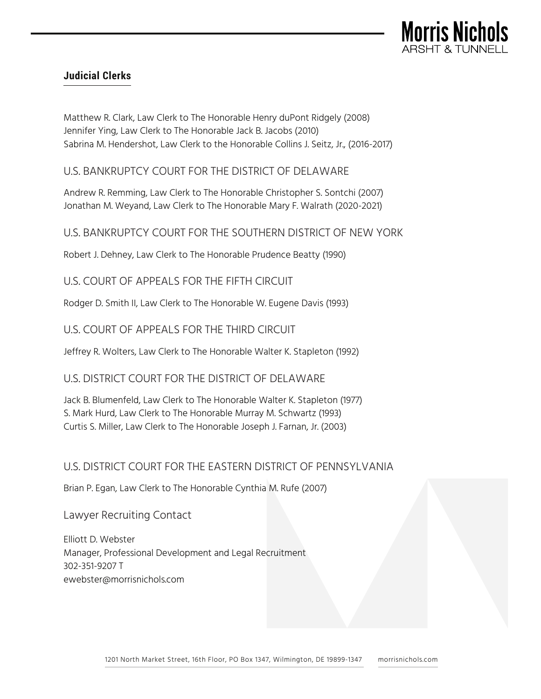

## **Judicial Clerks**

Matthew R. Clark, Law Clerk to The Honorable Henry duPont Ridgely (2008) Jennifer Ying, Law Clerk to The Honorable Jack B. Jacobs (2010) Sabrina M. Hendershot, Law Clerk to the Honorable Collins J. Seitz, Jr., (2016-2017)

U.S. BANKRUPTCY COURT FOR THE DISTRICT OF DELAWARE

Andrew R. Remming, Law Clerk to The Honorable Christopher S. Sontchi (2007) Jonathan M. Weyand, Law Clerk to The Honorable Mary F. Walrath (2020-2021)

U.S. BANKRUPTCY COURT FOR THE SOUTHERN DISTRICT OF NEW YORK

Robert J. Dehney, Law Clerk to The Honorable Prudence Beatty (1990)

U.S. COURT OF APPEALS FOR THE FIFTH CIRCUIT

Rodger D. Smith II, Law Clerk to The Honorable W. Eugene Davis (1993)

U.S. COURT OF APPEALS FOR THE THIRD CIRCUIT

Jeffrey R. Wolters, Law Clerk to The Honorable Walter K. Stapleton (1992)

U.S. DISTRICT COURT FOR THE DISTRICT OF DELAWARE

Jack B. Blumenfeld, Law Clerk to The Honorable Walter K. Stapleton (1977) S. Mark Hurd, Law Clerk to The Honorable Murray M. Schwartz (1993) Curtis S. Miller, Law Clerk to The Honorable Joseph J. Farnan, Jr. (2003)

## U.S. DISTRICT COURT FOR THE EASTERN DISTRICT OF PENNSYLVANIA

Brian P. Egan, Law Clerk to The Honorable Cynthia M. Rufe (2007)

Lawyer Recruiting Contact

Elliott D. Webster Manager, Professional Development and Legal Recruitment 302-351-9207 T ewebster@morrisnichols.com